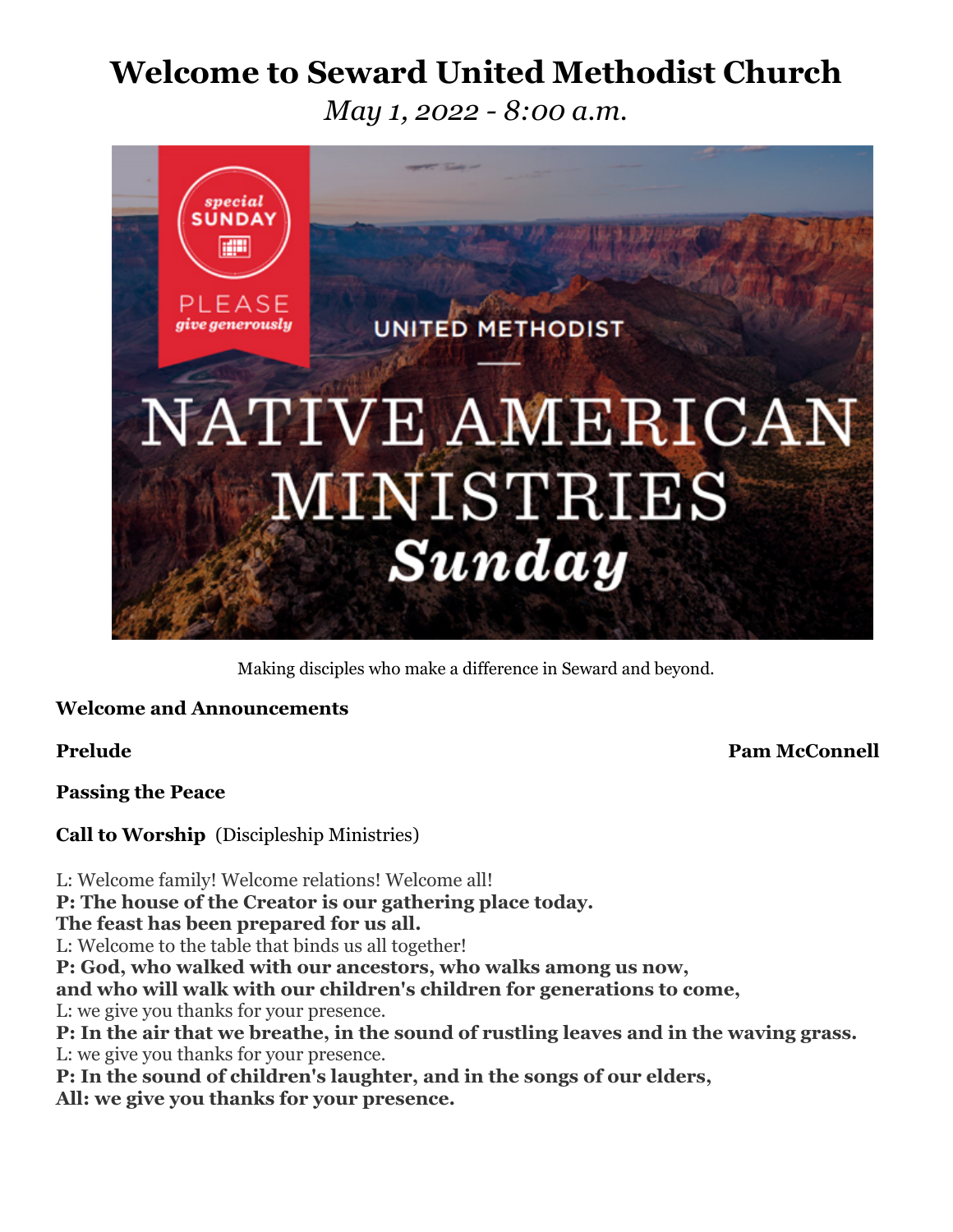# **Welcome to Seward United Methodist Church**

*May 1, 2022 - 8:00 a.m.*



Making disciples who make a difference in Seward and beyond.

### **Welcome and Announcements**

**Passing the Peace**

**Prelude Pam McConnell**

**Call to Worship** (Discipleship Ministries)

L: Welcome family! Welcome relations! Welcome all!

**P: The house of the Creator is our gathering place today.**

**The feast has been prepared for us all.**

L: Welcome to the table that binds us all together!

**P: God, who walked with our ancestors, who walks among us now,**

**and who will walk with our children's children for generations to come,**

L: we give you thanks for your presence.

**P: In the air that we breathe, in the sound of rustling leaves and in the waving grass.** L: we give you thanks for your presence.

**P: In the sound of children's laughter, and in the songs of our elders,**

**All: we give you thanks for your presence.**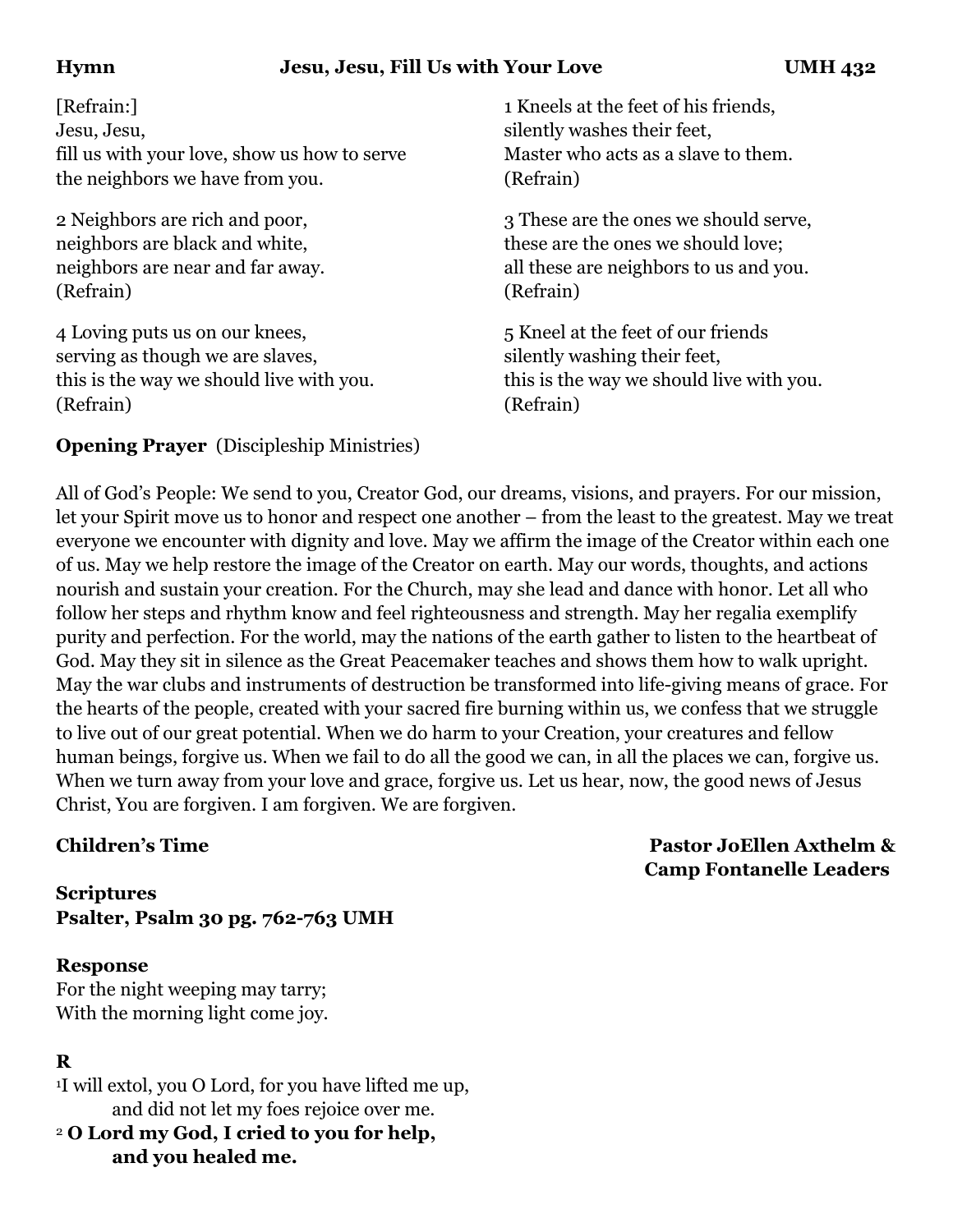### **Hymn Jesu, Jesu, Fill Us with Your Love UMH 432**

[Refrain:] 1 Kneels at the feet of his friends, Jesu, Jesu,  $\frac{1}{10}$  Jesu,  $\frac{1}{10}$  Jesu,  $\frac{1}{10}$  Silently washes their feet, fill us with your love, show us how to serve Master who acts as a slave to them. the neighbors we have from you. (Refrain)

(Refrain) (Refrain)

4 Loving puts us on our knees, 5 Kneel at the feet of our friends serving as though we are slaves, silently washing their feet, this is the way we should live with you. this is the way we should live with you. (Refrain) (Refrain)

**Opening Prayer** (Discipleship Ministries)

2 Neighbors are rich and poor, 3 These are the ones we should serve, neighbors are black and white, these are the ones we should love; neighbors are near and far away.  $all these are neighbors to us and you.$ 

All of God's People: We send to you, Creator God, our dreams, visions, and prayers. For our mission, let your Spirit move us to honor and respect one another – from the least to the greatest. May we treat everyone we encounter with dignity and love. May we affirm the image of the Creator within each one of us. May we help restore the image of the Creator on earth. May our words, thoughts, and actions nourish and sustain your creation. For the Church, may she lead and dance with honor. Let all who follow her steps and rhythm know and feel righteousness and strength. May her regalia exemplify purity and perfection. For the world, may the nations of the earth gather to listen to the heartbeat of God. May they sit in silence as the Great Peacemaker teaches and shows them how to walk upright. May the war clubs and instruments of destruction be transformed into life-giving means of grace. For the hearts of the people, created with your sacred fire burning within us, we confess that we struggle to live out of our great potential. When we do harm to your Creation, your creatures and fellow human beings, forgive us. When we fail to do all the good we can, in all the places we can, forgive us. When we turn away from your love and grace, forgive us. Let us hear, now, the good news of Jesus Christ, You are forgiven. I am forgiven. We are forgiven.

**Children's Time Pastor JoEllen Axthelm & Camp Fontanelle Leaders**

**Scriptures Psalter, Psalm 30 pg. 762-763 UMH**

# **Response**

For the night weeping may tarry; With the morning light come joy.

# **R**

1I will extol, you O Lord, for you have lifted me up, and did not let my foes rejoice over me.

<sup>2</sup> **O Lord my God, I cried to you for help, and you healed me.**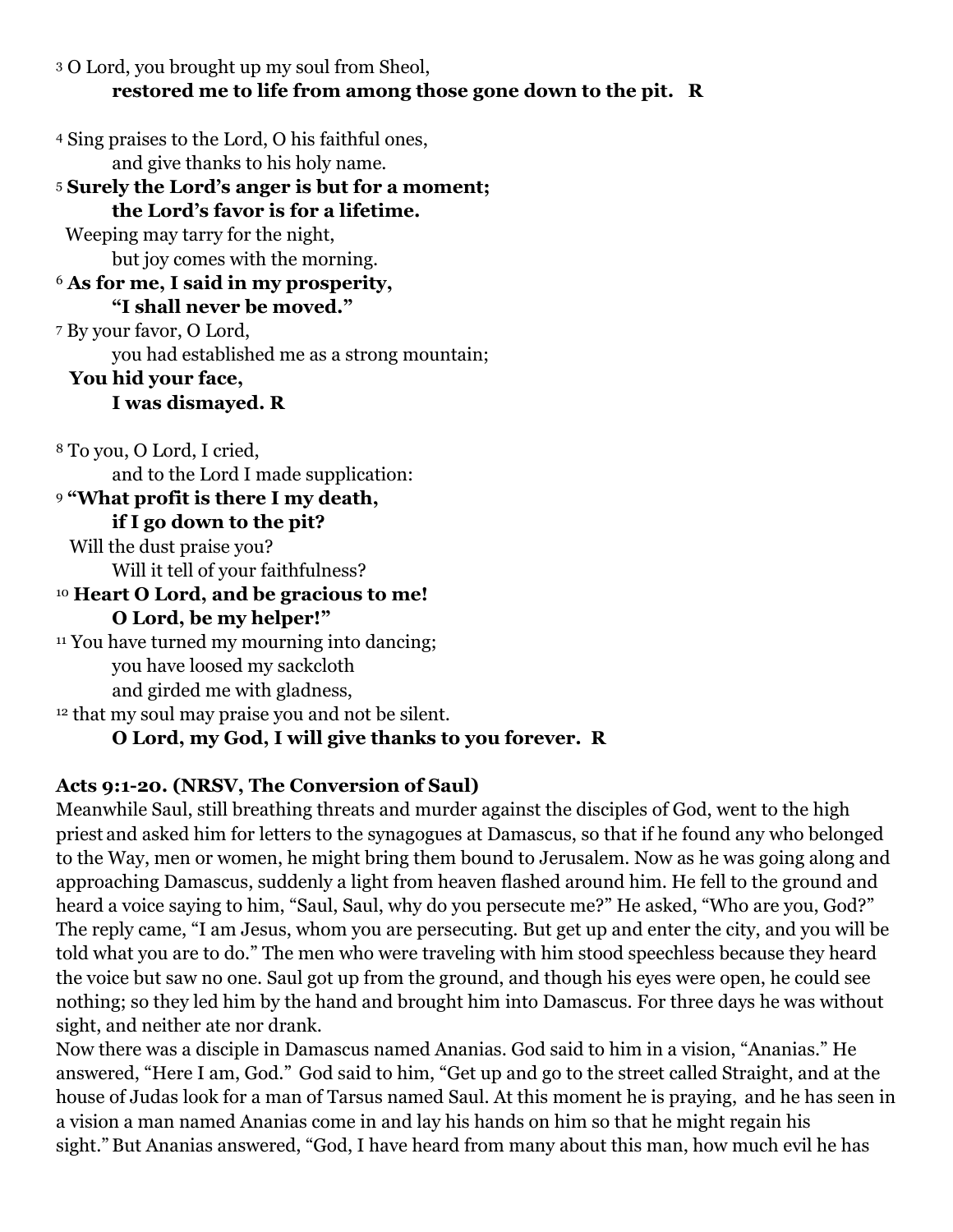3 O Lord, you brought up my soul from Sheol,

# **restored me to life from among those gone down to the pit. R**

4 Sing praises to the Lord, O his faithful ones, and give thanks to his holy name.

# <sup>5</sup> **Surely the Lord's anger is but for a moment; the Lord's favor is for a lifetime.**

Weeping may tarry for the night, but joy comes with the morning.

#### <sup>6</sup> **As for me, I said in my prosperity, "I shall never be moved."**

7 By your favor, O Lord,

you had established me as a strong mountain;

# **You hid your face,**

# **I was dismayed. R**

8 To you, O Lord, I cried, and to the Lord I made supplication:

### <sup>9</sup> **"What profit is there I my death, if I go down to the pit?**

 Will the dust praise you? Will it tell of your faithfulness?

# <sup>10</sup> **Heart O Lord, and be gracious to me! O Lord, be my helper!"**

<sup>11</sup> You have turned my mourning into dancing; you have loosed my sackcloth and girded me with gladness,

12 that my soul may praise you and not be silent.

# **O Lord, my God, I will give thanks to you forever. R**

# **Acts 9:1-20. (NRSV, The Conversion of Saul)**

Meanwhile Saul, still breathing threats and murder against the disciples of God, went to the high priest and asked him for letters to the synagogues at Damascus, so that if he found any who belonged to the Way, men or women, he might bring them bound to Jerusalem. Now as he was going along and approaching Damascus, suddenly a light from heaven flashed around him. He fell to the ground and heard a voice saying to him, "Saul, Saul, why do you persecute me?" He asked, "Who are you, God?" The reply came, "I am Jesus, whom you are persecuting. But get up and enter the city, and you will be told what you are to do." The men who were traveling with him stood speechless because they heard the voice but saw no one. Saul got up from the ground, and though his eyes were open, he could see nothing; so they led him by the hand and brought him into Damascus. For three days he was without sight, and neither ate nor drank.

Now there was a disciple in Damascus named Ananias. God said to him in a vision, "Ananias." He answered, "Here I am, God." God said to him, "Get up and go to the street called Straight, and at the house of Judas look for a man of Tarsus named Saul. At this moment he is praying, and he has seen in a vision a man named Ananias come in and lay his hands on him so that he might regain his sight." But Ananias answered, "God, I have heard from many about this man, how much evil he has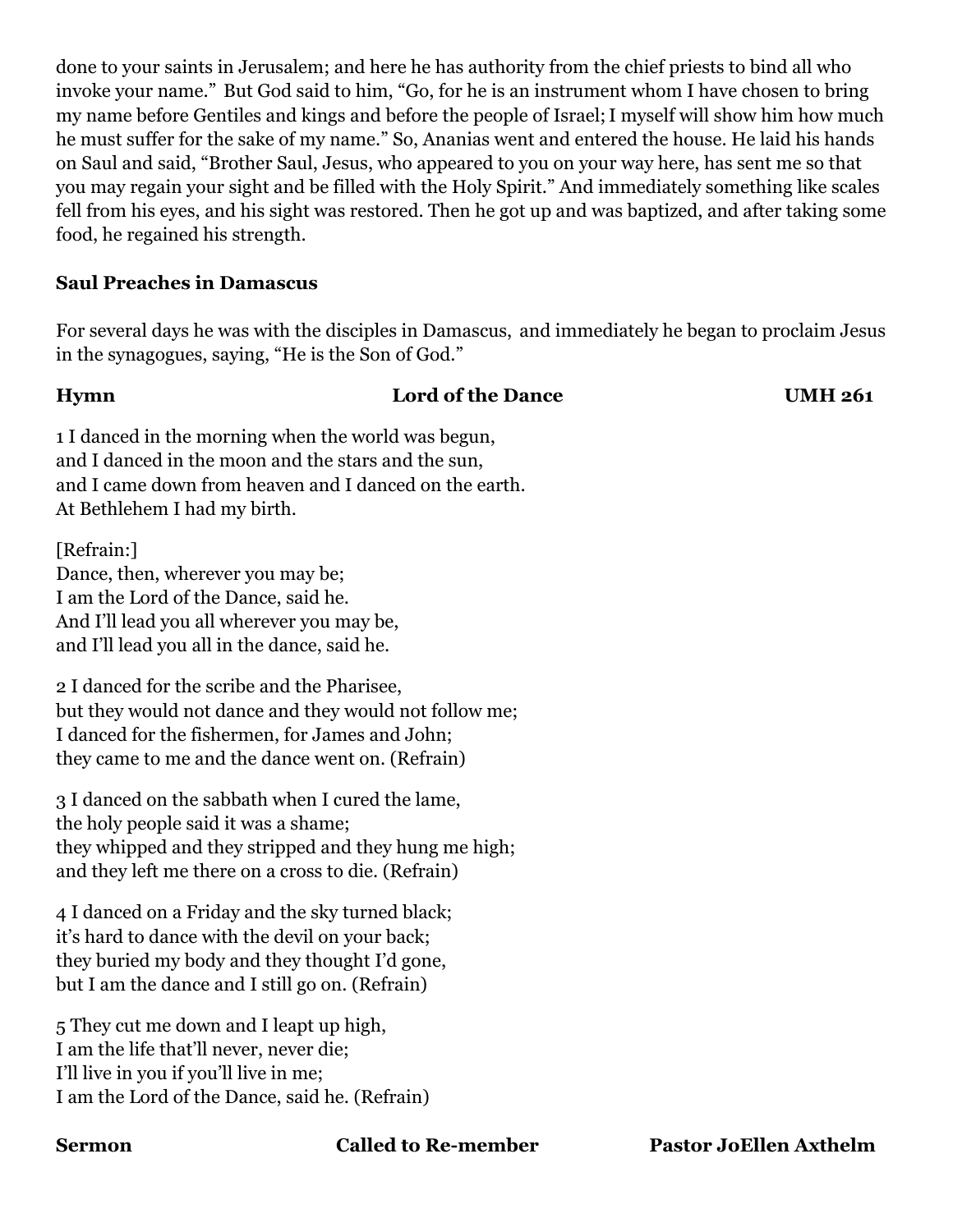done to your saints in Jerusalem; and here he has authority from the chief priests to bind all who invoke your name." But God said to him, "Go, for he is an instrument whom I have chosen to bring my name before Gentiles and kings and before the people of Israel;I myself will show him how much he must suffer for the sake of my name." So, Ananias went and entered the house. He laid his hands on Saul and said, "Brother Saul, Jesus, who appeared to you on your way here, has sent me so that you may regain your sight and be filled with the Holy Spirit." And immediately something like scales fell from his eyes, and his sight was restored. Then he got up and was baptized, and after taking some food, he regained his strength.

### **Saul Preaches in Damascus**

For several days he was with the disciples in Damascus, and immediately he began to proclaim Jesus in the synagogues, saying, "He is the Son of God."

### **Hymn** Lord of the Dance **UMH 261**

1 I danced in the morning when the world was begun, and I danced in the moon and the stars and the sun, and I came down from heaven and I danced on the earth. At Bethlehem I had my birth.

[Refrain:] Dance, then, wherever you may be; I am the Lord of the Dance, said he. And I'll lead you all wherever you may be, and I'll lead you all in the dance, said he.

2 I danced for the scribe and the Pharisee, but they would not dance and they would not follow me; I danced for the fishermen, for James and John; they came to me and the dance went on. (Refrain)

3 I danced on the sabbath when I cured the lame, the holy people said it was a shame; they whipped and they stripped and they hung me high; and they left me there on a cross to die. (Refrain)

4 I danced on a Friday and the sky turned black; it's hard to dance with the devil on your back; they buried my body and they thought I'd gone, but I am the dance and I still go on. (Refrain)

5 They cut me down and I leapt up high, I am the life that'll never, never die; I'll live in you if you'll live in me; I am the Lord of the Dance, said he. (Refrain)

**Sermon Called to Re-member Pastor JoEllen Axthelm**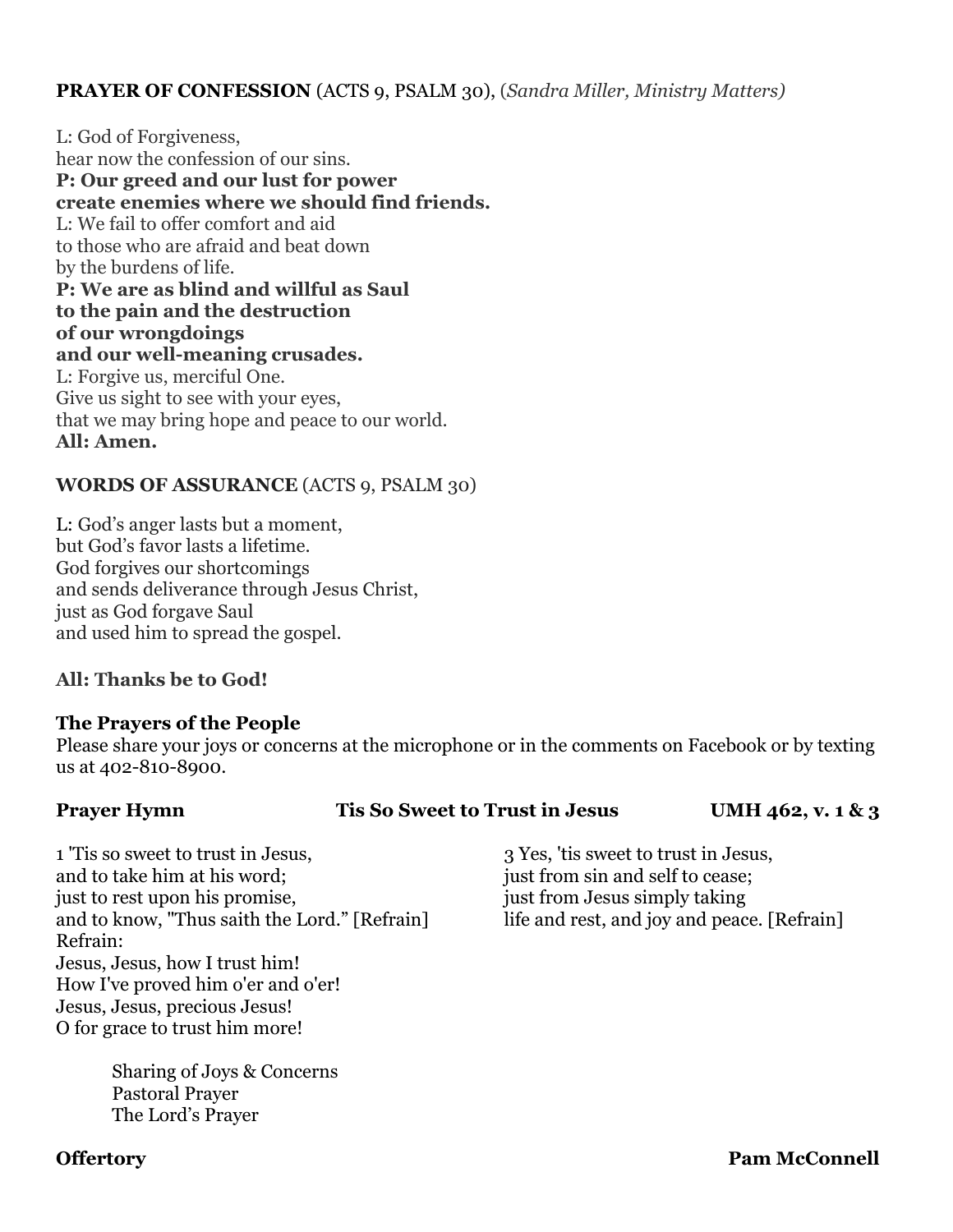#### **PRAYER OF CONFESSION** (ACTS 9, PSALM 30), (*Sandra Miller, Ministry Matters)*

L: God of Forgiveness, hear now the confession of our sins. **P: Our greed and our lust for power create enemies where we should find friends.** L: We fail to offer comfort and aid to those who are afraid and beat down by the burdens of life. **P: We are as blind and willful as Saul to the pain and the destruction of our wrongdoings and our well-meaning crusades.** L: Forgive us, merciful One. Give us sight to see with your eyes, that we may bring hope and peace to our world. **All: Amen.**

#### **WORDS OF ASSURANCE** (ACTS 9, PSALM 30)

L: God's anger lasts but a moment, but God's favor lasts a lifetime. God forgives our shortcomings and sends deliverance through Jesus Christ, just as God forgave Saul and used him to spread the gospel.

#### **All: Thanks be to God!**

#### **The Prayers of the People**

Please share your joys or concerns at the microphone or in the comments on Facebook or by texting us at 402-810-8900.

| <b>Tis So Sweet to Trust in Jesus</b>                                                                                                                    | UMH 462, v. $1 \& 3$ |
|----------------------------------------------------------------------------------------------------------------------------------------------------------|----------------------|
| 3 Yes, 'tis sweet to trust in Jesus,<br>just from sin and self to cease;<br>just from Jesus simply taking<br>life and rest, and joy and peace. [Refrain] |                      |
|                                                                                                                                                          |                      |

Sharing of Joys & Concerns Pastoral Prayer The Lord's Prayer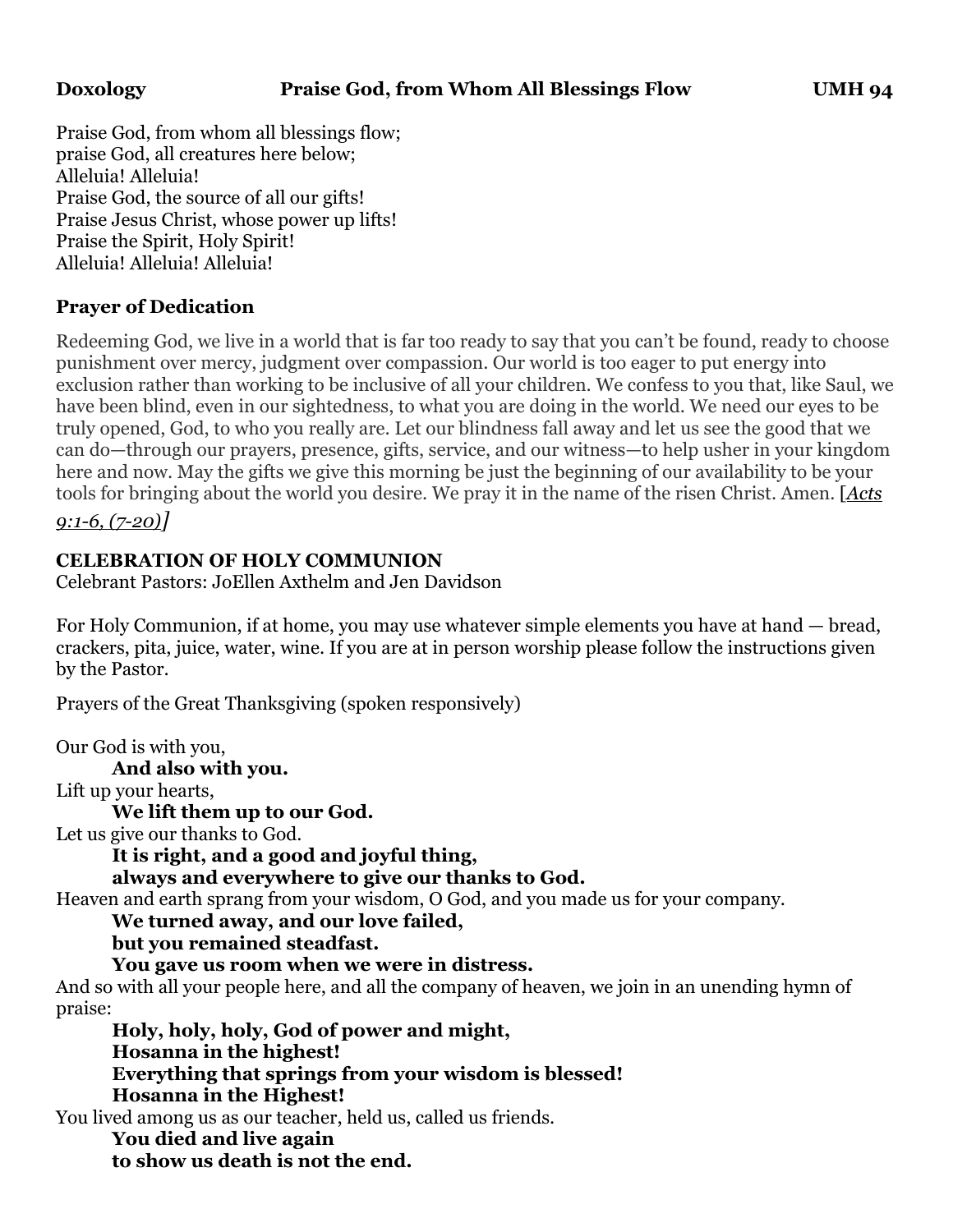Praise God, from whom all blessings flow; praise God, all creatures here below; Alleluia! Alleluia! Praise God, the source of all our gifts! Praise Jesus Christ, whose power up lifts! Praise the Spirit, Holy Spirit! Alleluia! Alleluia! Alleluia!

### **Prayer of Dedication**

Redeeming God, we live in a world that is far too ready to say that you can't be found, ready to choose punishment over mercy, judgment over compassion. Our world is too eager to put energy into exclusion rather than working to be inclusive of all your children. We confess to you that, like Saul, we have been blind, even in our sightedness, to what you are doing in the world. We need our eyes to be truly opened, God, to who you really are. Let our blindness fall away and let us see the good that we can do—through our prayers, presence, gifts, service, and our witness—to help usher in your kingdom here and now. May the gifts we give this morning be just the beginning of our availability to be your tools for bringing about the world you desire. We pray it in the name of the risen Christ. Amen. [*[Acts](https://lectionary.library.vanderbilt.edu/texts.php?id=135#hebrew_reading)* 

*[9:1-6, \(7-20\)](https://lectionary.library.vanderbilt.edu/texts.php?id=135#hebrew_reading)]*

### **CELEBRATION OF HOLY COMMUNION**

Celebrant Pastors: JoEllen Axthelm and Jen Davidson

For Holy Communion, if at home, you may use whatever simple elements you have at hand — bread, crackers, pita, juice, water, wine. If you are at in person worship please follow the instructions given by the Pastor.

Prayers of the Great Thanksgiving (spoken responsively)

Our God is with you,

**And also with you.**

Lift up your hearts,

**We lift them up to our God.**

Let us give our thanks to God.

**It is right, and a good and joyful thing,** 

**always and everywhere to give our thanks to God.**

Heaven and earth sprang from your wisdom, O God, and you made us for your company.

**We turned away, and our love failed,**

**but you remained steadfast.**

**You gave us room when we were in distress.** 

And so with all your people here, and all the company of heaven, we join in an unending hymn of praise:

**Holy, holy, holy, God of power and might, Hosanna in the highest! Everything that springs from your wisdom is blessed! Hosanna in the Highest!**

You lived among us as our teacher, held us, called us friends.

**You died and live again to show us death is not the end.**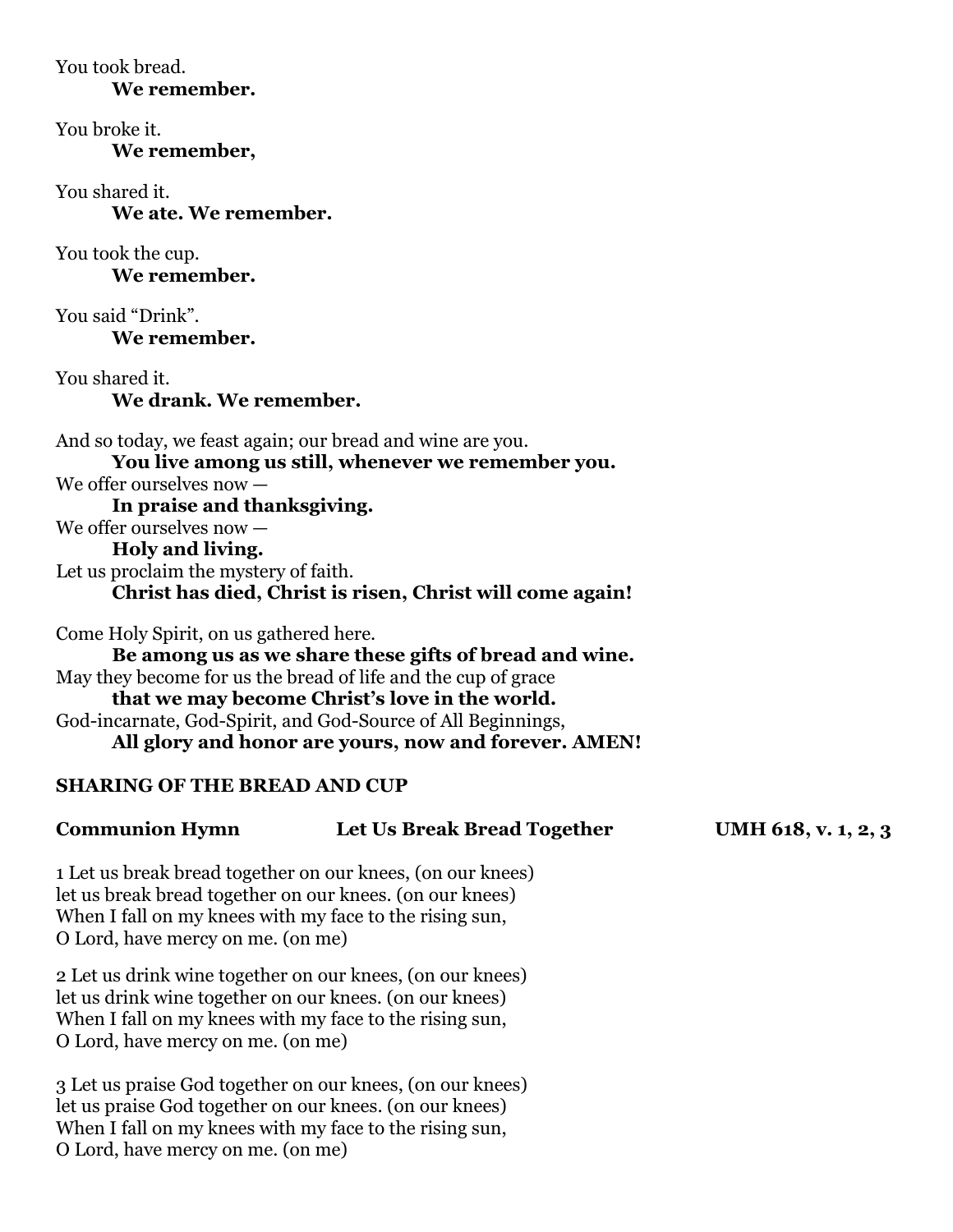# You took bread.

**We remember.** 

You broke it. **We remember,** 

You shared it. **We ate. We remember.** 

You took the cup. **We remember.**

You said "Drink". **We remember.** 

You shared it. **We drank. We remember.** 

And so today, we feast again; our bread and wine are you. **You live among us still, whenever we remember you.**  We offer ourselves now — **In praise and thanksgiving.** We offer ourselves now — **Holy and living.**  Let us proclaim the mystery of faith. **Christ has died, Christ is risen, Christ will come again!**  Come Holy Spirit, on us gathered here. **Be among us as we share these gifts of bread and wine.**  May they become for us the bread of life and the cup of grace **that we may become Christ's love in the world.**  God-incarnate, God-Spirit, and God-Source of All Beginnings,

**All glory and honor are yours, now and forever. AMEN!** 

### **SHARING OF THE BREAD AND CUP**

| <b>Communion Hymn</b> | Let Us Break Bread Together                                | UMH 618, v. 1, 2, 3 |
|-----------------------|------------------------------------------------------------|---------------------|
|                       | 1 Let us break bread together on our knees, (on our knees) |                     |
|                       | let us break bread together on our knees. (on our knees)   |                     |

let us break bread together on our knees. (on our knees) When I fall on my knees with my face to the rising sun, O Lord, have mercy on me. (on me)

2 Let us drink wine together on our knees, (on our knees) let us drink wine together on our knees. (on our knees) When I fall on my knees with my face to the rising sun, O Lord, have mercy on me. (on me)

3 Let us praise God together on our knees, (on our knees) let us praise God together on our knees. (on our knees) When I fall on my knees with my face to the rising sun, O Lord, have mercy on me. (on me)